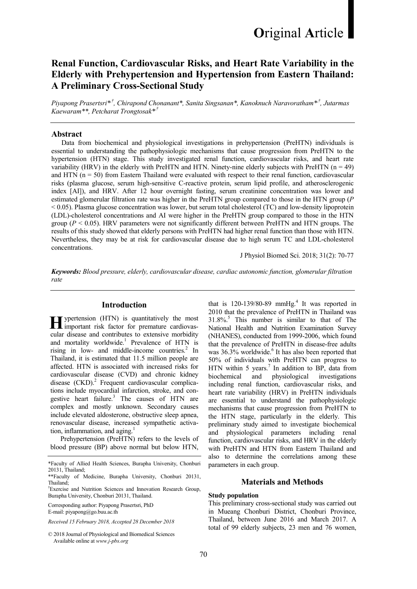# **Original Article**

## Renal Function, Cardiovascular Risks, and Heart Rate Variability in the Elderly with Prehypertension and Hypertension from Eastern Thailand: A Preliminary Cross-Sectional Study

Piyapong Prasertsri $*^{\dagger}$ , Chirapond Chonanant\*, Sanita Singsanan\*, Kanoknuch Naravoratham\* $^{\dagger}$ , Jutarmas Kaewaram\*\*, Petcharat Trongtosak\*<sup>†</sup>

## Abstract

 Data from biochemical and physiological investigations in prehypertension (PreHTN) individuals is essential to understanding the pathophysiologic mechanisms that cause progression from PreHTN to the hypertension (HTN) stage. This study investigated renal function, cardiovascular risks, and heart rate variability (HRV) in the elderly with PreHTN and HTN. Ninety-nine elderly subjects with PreHTN  $(n = 49)$ and HTN  $(n = 50)$  from Eastern Thailand were evaluated with respect to their renal function, cardiovascular risks (plasma glucose, serum high-sensitive C-reactive protein, serum lipid profile, and atherosclerogenic index [AI]), and HRV. After 12 hour overnight fasting, serum creatinine concentration was lower and estimated glomerular filtration rate was higher in the PreHTN group compared to those in the HTN group (P < 0.05). Plasma glucose concentration was lower, but serum total cholesterol (TC) and low-density lipoprotein (LDL)-cholesterol concentrations and AI were higher in the PreHTN group compared to those in the HTN group ( $P < 0.05$ ). HRV parameters were not significantly different between PreHTN and HTN groups. The results of this study showed that elderly persons with PreHTN had higher renal function than those with HTN. Nevertheless, they may be at risk for cardiovascular disease due to high serum TC and LDL-cholesterol concentrations.

J Physiol Biomed Sci. 2018; 31(2): 70-77

Keywords: Blood pressure, elderly, cardiovascular disease, cardiac autonomic function, glomerular filtration rate

## Introduction

ypertension (HTN) is quantitatively the most **H** ypertension (HTN) is quantitatively the most important risk factor for premature cardiovascular disease and contributes to extensive morbidity and mortality worldwide.<sup>1</sup> Prevalence of HTN is rising in low- and middle-income countries. $2$  In Thailand, it is estimated that 11.5 million people are affected. HTN is associated with increased risks for cardiovascular disease (CVD) and chronic kidney disease (CKD).<sup>2</sup> Frequent cardiovascular complications include myocardial infarction, stroke, and congestive heart failure.<sup>3</sup> The causes of HTN are complex and mostly unknown. Secondary causes include elevated aldosterone, obstructive sleep apnea, renovascular disease, increased sympathetic activation, inflammation, and aging.<sup>1</sup>

Prehypertension (PreHTN) refers to the levels of blood pressure (BP) above normal but below HTN,

†Exercise and Nutrition Sciences and Innovation Research Group, Burapha University, Chonburi 20131, Thailand.

Corresponding author: Piyapong Prasertsri, PhD E-mail: piyapong@go.buu.ac.th

Received 15 February 2018, Accepted 28 December 2018

© 2018 Journal of Physiological and Biomedical Sciences Available online at www.j-pbs.org

that is  $120-139/80-89$  mmHg.<sup>4</sup> It was reported in 2010 that the prevalence of PreHTN in Thailand was 31.8%.<sup>5</sup> This number is similar to that of The National Health and Nutrition Examination Survey (NHANES), conducted from 1999-2006, which found that the prevalence of PreHTN in disease-free adults was  $36.3\%$  worldwide.<sup>6</sup> It has also been reported that 50% of individuals with PreHTN can progress to HTN within 5 years.<sup>7</sup> In addition to BP, data from biochemical and physiological investigations including renal function, cardiovascular risks, and heart rate variability (HRV) in PreHTN individuals are essential to understand the pathophysiologic mechanisms that cause progression from PreHTN to the HTN stage, particularly in the elderly. This preliminary study aimed to investigate biochemical and physiological parameters including renal function, cardiovascular risks, and HRV in the elderly with PreHTN and HTN from Eastern Thailand and also to determine the correlations among these parameters in each group.

## Materials and Methods

## Study population

This preliminary cross-sectional study was carried out in Mueang Chonburi District, Chonburi Province, Thailand, between June 2016 and March 2017. A total of 99 elderly subjects, 23 men and 76 women,

<sup>\*</sup>Faculty of Allied Health Sciences, Burapha University, Chonburi 20131, Thailand;

<sup>\*\*</sup>Faculty of Medicine, Burapha University, Chonburi 20131, Thailand;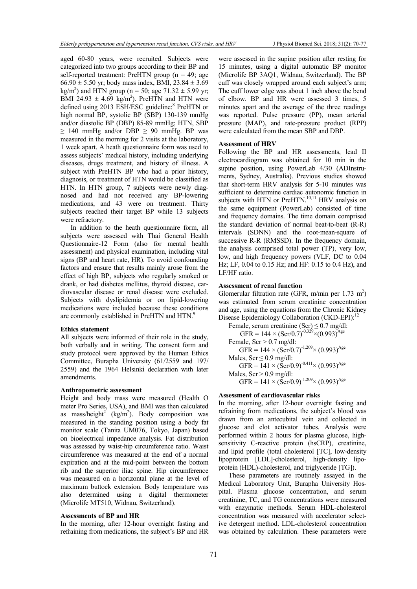aged 60-80 years, were recruited. Subjects were categorized into two groups according to their BP and self-reported treatment: PreHTN group ( $n = 49$ ; age  $66.90 \pm 5.50$  yr; body mass index, BMI, 23.84  $\pm 3.69$  $\text{kg/m}^2$ ) and HTN group (n = 50; age 71.32  $\pm$  5.99 yr; BMI 24.93  $\pm$  4.69 kg/m<sup>2</sup>). PreHTN and HTN were defined using 2013 ESH/ESC guideline:<sup>8</sup> PreHTN or high normal BP, systolic BP (SBP) 130-139 mmHg and/or diastolic BP (DBP) 85-89 mmHg; HTN, SBP  $\geq$  140 mmHg and/or DBP  $\geq$  90 mmHg. BP was measured in the morning for 2 visits at the laboratory, 1 week apart. A heath questionnaire form was used to assess subjects' medical history, including underlying diseases, drugs treatment, and history of illness. A subject with PreHTN BP who had a prior history, diagnosis, or treatment of HTN would be classified as HTN. In HTN group, 7 subjects were newly diagnosed and had not received any BP-lowering medications, and 43 were on treatment. Thirty subjects reached their target BP while 13 subjects were refractory.

In addition to the heath questionnaire form, all subjects were assessed with Thai General Health Questionnaire-12 Form (also for mental health assessment) and physical examination, including vital signs (BP and heart rate, HR). To avoid confounding factors and ensure that results mainly arose from the effect of high BP, subjects who regularly smoked or drank, or had diabetes mellitus, thyroid disease, cardiovascular disease or renal disease were excluded. Subjects with dyslipidemia or on lipid-lowering medications were included because these conditions are commonly established in PreHTN and HTN.<sup>9</sup>

#### Ethics statement

All subjects were informed of their role in the study, both verbally and in writing. The consent form and study protocol were approved by the Human Ethics Committee, Burapha University (61/2559 and 197/ 2559) and the 1964 Helsinki declaration with later amendments.

#### Anthropometric assessment

Height and body mass were measured (Health O meter Pro Series, USA), and BMI was then calculated as mass/height<sup>2</sup> (kg/m<sup>2</sup>). Body composition was measured in the standing position using a body fat monitor scale (Tanita UM076, Tokyo, Japan) based on bioelectrical impedance analysis. Fat distribution was assessed by waist-hip circumference ratio. Waist circumference was measured at the end of a normal expiration and at the mid-point between the bottom rib and the superior iliac spine. Hip circumference was measured on a horizontal plane at the level of maximum buttock extension. Body temperature was also determined using a digital thermometer (Microlife MT510, Widnau, Switzerland).

## Assessments of BP and HR

In the morning, after 12-hour overnight fasting and refraining from medications, the subject's BP and HR

were assessed in the supine position after resting for 15 minutes, using a digital automatic BP monitor (Microlife BP 3AQ1, Widnau, Switzerland). The BP cuff was closely wrapped around each subject's arm; The cuff lower edge was about 1 inch above the bend of elbow. BP and HR were assessed 3 times, 5 minutes apart and the average of the three readings was reported. Pulse pressure (PP), mean arterial pressure (MAP), and rate-pressure product (RPP) were calculated from the mean SBP and DBP.

## Assessment of HRV

Following the BP and HR assessments, lead II electrocardiogram was obtained for 10 min in the supine position, using PowerLab 4/30 (ADInstruments, Sydney, Australia). Previous studies showed that short-term HRV analysis for 5-10 minutes was sufficient to determine cardiac autonomic function in subjects with HTN or PreHTN.<sup>10,11</sup> HRV analysis on the same equipment (PowerLab) consisted of time and frequency domains. The time domain comprised the standard deviation of normal beat-to-beat (R-R) intervals (SDNN) and the root-mean-square of successive R-R (RMSSD). In the frequency domain, the analysis comprised total power (TP), very low, low, and high frequency powers (VLF, DC to 0.04 Hz; LF, 0.04 to 0.15 Hz; and HF: 0.15 to 0.4 Hz), and LF/HF ratio.

## Assessment of renal function

Glomerular filtration rate (GFR, m/min per 1.73 m<sup>2</sup>) was estimated from serum creatinine concentration and age, using the equations from the Chronic Kidney Disease Epidemiology Collaboration (CKD-EPI):<sup>12</sup>

Female, serum creatinine  $(Scr) \le 0.7$  mg/dl:  $GFR = 144 \times (Scr/0.7)^{-0.329} \times (0.993)^{Age}$ Female,  $Scr > 0.7$  mg/dl:  $GFR = 144 \times (Scr/0.7)^{-1.209} \times (0.993)^{Age}$ Males,  $Scr \leq 0.9$  mg/dl:  $GFR = 141 \times (Scr/0.9)^{-0.411} \times (0.993)^{Age}$ Males,  $Scr > 0.9$  mg/dl: GFR =  $141 \times (Scr/0.9)^{-1.209} \times (0.993)^{Age}$ 

## Assessment of cardiovascular risks

In the morning, after 12-hour overnight fasting and refraining from medications, the subject's blood was drawn from an antecubital vein and collected in glucose and clot activator tubes. Analysis were performed within 2 hours for plasma glucose, highsensitivity C-reactive protein (hsCRP), creatinine, and lipid profile (total cholesterol [TC], low-density lipoprotein [LDL]-cholesterol, high-density lipoprotein (HDL)-cholesterol, and triglyceride [TG]).

These parameters are routinely assayed in the Medical Laboratory Unit, Burapha University Hospital. Plasma glucose concentration, and serum creatinine, TC, and TG concentrations were measured with enzymatic methods. Serum HDL-cholesterol concentration was measured with accelerator selective detergent method. LDL-cholesterol concentration was obtained by calculation. These parameters were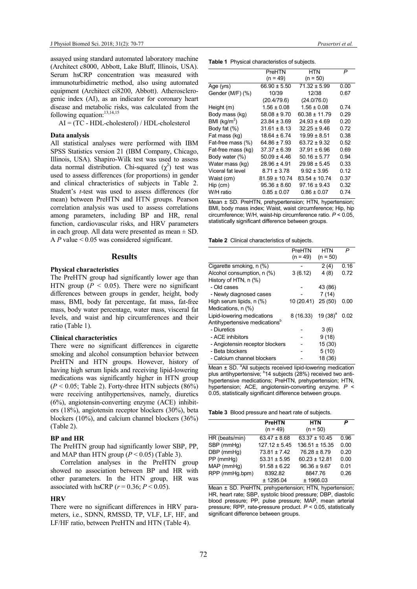assayed using standard automated laboratory machine (Architect c8000, Abbott, Lake Bluff, Illinois, USA). Serum hsCRP concentration was measured with immunoturbidimetric method, also using automated equipment (Architect ci8200, Abbott). Atherosclerogenic index (AI), as an indicator for coronary heart disease and metabolic risks, was calculated from the following equation:<sup>13,14,15</sup>

AI = (TC - HDL-cholesterol) / HDL-cholesterol

#### Data analysis

All statistical analyses were performed with IBM SPSS Statistics version 21 (IBM Company, Chicago, Illinois, USA). Shapiro-Wilk test was used to assess data normal distribution. Chi-squared  $(\chi^2)$  test was used to assess differences (for proportions) in gender and clinical chracteristics of subjects in Table 2. Student's t-test was used to assess differences (for mean) between PreHTN and HTN groups. Pearson correlation analysis was used to assess correlations among parameters, including BP and HR, renal function, cardiovascular risks, and HRV parameters in each group. All data were presented as mean  $\pm$  SD. A P value  $\leq 0.05$  was considered significant.

## **Results**

### Physical characteristics

The PreHTN group had significantly lower age than HTN group ( $P < 0.05$ ). There were no significant differences between groups in gender, height, body mass, BMI, body fat percentage, fat mass, fat-free mass, body water percentage, water mass, visceral fat levels, and waist and hip circumferences and their ratio (Table 1).

#### Clinical characteristics

There were no significant differences in cigarette smoking and alcohol consumption behavior between PreHTN and HTN groups. However, history of having high serum lipids and receiving lipid-lowering medications was significantly higher in HTN group  $(P < 0.05$ ; Table 2). Forty-three HTN subjects (86%) were receiving antihypertensives, namely, diuretics (6%), angiotensin-converting enzyme (ACE) inhibitors (18%), angiotensin receptor blockers (30%), beta blockers (10%), and calcium channel blockers (36%) (Table 2).

## BP and HR

The PreHTN group had significantly lower SBP, PP, and MAP than HTN group  $(P < 0.05)$  (Table 3).

Correlation analyses in the PreHTN group showed no association between BP and HR with other parameters. In the HTN group, HR was associated with hsCRP  $(r = 0.36; P \le 0.05)$ .

#### **HRV**

There were no significant differences in HRV parameters, i.e., SDNN, RMSSD, TP, VLF, LF, HF, and LF/HF ratio, between PreHTN and HTN (Table 4).

|  |  | <b>Table 1</b> Physical characteristics of subjects. |  |
|--|--|------------------------------------------------------|--|
|--|--|------------------------------------------------------|--|

|                    | PreHTN            | HTN              | P    |
|--------------------|-------------------|------------------|------|
|                    | $(n = 49)$        | $(n = 50)$       |      |
| Age (yrs)          | $66.90 \pm 5.50$  | $71.32 \pm 5.99$ | 0.00 |
| Gender (M/F) (%)   | 10/39             | 12/38            | 0.67 |
|                    | (20.4/79.6)       | (24.0/76.0)      |      |
| Height (m)         | $1.56 \pm 0.08$   | $1.56 \pm 0.08$  | 0.74 |
| Body mass (kg)     | $58.08 \pm 9.70$  | 60.38 ± 11.79    | 0.29 |
| BMI ( $kg/m2$ )    | $23.84 \pm 3.69$  | $24.93 \pm 4.69$ | 0.20 |
| Body fat (%)       | $31.61 \pm 8.13$  | $32.25 \pm 9.46$ | 0.72 |
| Fat mass (kg)      | $18.64 \pm 6.74$  | $19.99 \pm 8.51$ | 0.38 |
| Fat-free mass (%)  | $64.86 \pm 7.93$  | $63.72 \pm 9.32$ | 0.52 |
| Fat-free mass (kg) | $37.37 \pm 6.39$  | $37.91 \pm 6.96$ | 0.69 |
| Body water (%)     | $50.09 \pm 4.46$  | $50.16 \pm 5.77$ | 0.94 |
| Water mass (kg)    | $28.96 \pm 4.91$  | $29.98 \pm 5.45$ | 0.33 |
| Viceral fat level  | $8.71 \pm 3.78$   | $9.92 \pm 3.95$  | 0.12 |
| Waist (cm)         | $81.59 \pm 10.74$ | 83.54 ± 10.74    | 0.37 |
| $Hip$ (cm)         | $95.36 \pm 8.60$  | $97.16 \pm 9.43$ | 0.32 |
| W/H ratio          | $0.85 \pm 0.07$   | $0.86 \pm 0.07$  | 0.74 |

Mean ± SD. PreHTN, prehypertension; HTN, hypertension; BMI, body mass index; Waist, waist circumference; Hip, hip circumference: W/H, waist-hip circumference ratio,  $P \le 0.05$ . statistically significant difference between groups.

Table 2 Clinical characteristics of subjects.

|                                           | PreHTN             | <b>HTN</b>  | P    |
|-------------------------------------------|--------------------|-------------|------|
|                                           | $(n = 49)$         | $(n = 50)$  |      |
| Cigarette smoking, n (%)                  |                    | 2(4)        | 0.16 |
| Alcohol consumption, n (%)                | 3(6.12)            | 4(8)        | 0.72 |
| History of HTN, n (%)                     |                    |             |      |
| - Old cases                               |                    | 43 (86)     |      |
| - Newly diagnosed cases                   |                    | 7(14)       |      |
| High serum lipids, n (%)                  | 10 (20.41) 25 (50) |             | 0.00 |
| Medications, n (%)                        |                    |             |      |
| Lipid-lowering medications                | 8 (16.33)          | 19 $(38)^a$ | 0.02 |
| Antihypertensive medications <sup>b</sup> |                    |             |      |
| - Diuretics                               |                    | 3(6)        |      |
| - ACE inhibitors                          |                    | 9(18)       |      |
| - Angiotensin receptor blockers           |                    | 15(30)      |      |
| - Beta blockers                           |                    | 5(10)       |      |
| - Calcium channel blockers                |                    | 18 (36)     |      |

Mean  $\pm$  SD.  $^{\circ}$ All subjects received lipid-lowering medication plus antihypertensive; <sup>b</sup>14 subjects (28%) received two antihypertensive medications; PreHTN, prehypertension; HTN, hypertension; ACE, angiotensin-converting enzyme. P < 0.05, statistically significant difference between groups.

Table 3 Blood pressure and heart rate of subjects.

|                | <b>PreHTN</b><br>$(n = 49)$ | <b>HTN</b><br>$(n = 50)$ | P    |
|----------------|-----------------------------|--------------------------|------|
| HR (beats/min) | $63.47 \pm 8.68$            | $63.37 \pm 10.45$        | 0.96 |
| SBP (mmHq)     | $127.12 \pm 5.45$           | $136.51 \pm 15.35$       | 0.00 |
| DBP (mmHq)     | $73.81 \pm 7.42$            | $76.28 \pm 8.79$         | 0.20 |
| PP (mmHq)      | $53.31 \pm 5.95$            | $60.23 \pm 12.81$        | 0.00 |
| MAP (mmHq)     | $91.58 \pm 6.22$            | $96.36 \pm 9.67$         | 0.01 |
| RPP (mmHq.bpm) | 8392.82                     | 8847.76                  | 0.26 |
|                | ± 1295.04                   | ± 1966.03                |      |

Mean ± SD. PreHTN, prehypertension; HTN, hypertension; HR, heart rate; SBP, systolic blood pressure; DBP, diastolic blood pressure; PP, pulse pressure; MAP, mean arterial pressure; RPP, rate-pressure product.  $P < 0.05$ , statistically significant difference between groups.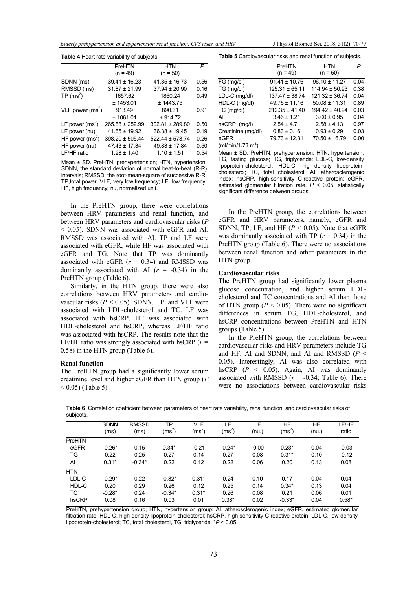|  |  | J Physiol Biomed Sci. 2018; 31(2): 70-77 |  |  |  |  |  |
|--|--|------------------------------------------|--|--|--|--|--|
|--|--|------------------------------------------|--|--|--|--|--|

| <b>Table 4 Heart rate variability of subjects.</b> |                     |                     |      |  |  |  |
|----------------------------------------------------|---------------------|---------------------|------|--|--|--|
|                                                    | PreHTN              | HTN                 | P    |  |  |  |
|                                                    | $(n = 49)$          | $(n = 50)$          |      |  |  |  |
| SDNN (ms)                                          | $39.41 \pm 16.23$   | $41.35 \pm 16.73$   | 0.56 |  |  |  |
| RMSSD (ms)                                         | $31.87 \pm 21.99$   | $37.94 \pm 20.90$   | 0.16 |  |  |  |
| $TP(ms^2)$                                         | 1657.62             | 1860.24             | 0.49 |  |  |  |
|                                                    | ± 1453.01           | ± 1443.75           |      |  |  |  |
| VLF power $(ms^2)$                                 | 913.49              | 890.31              | 0.91 |  |  |  |
|                                                    | ± 1061.01           | ± 914.72            |      |  |  |  |
| LF power $(ms^2)$                                  | $265.88 \pm 252.99$ | $302.81 \pm 289.80$ | 0.50 |  |  |  |
| LF power (nu)                                      | $41.65 \pm 19.92$   | $36.38 \pm 19.45$   | 0.19 |  |  |  |
| HF power $(ms^2)$                                  | $398.20 \pm 505.44$ | $522.44 \pm 573.74$ | 0.26 |  |  |  |
| HF power (nu)                                      | $47.43 \pm 17.34$   | $49.83 \pm 17.84$   | 0.50 |  |  |  |
| LF/HF ratio                                        | $1.28 \pm 1.40$     | $1.10 \pm 1.51$     | 0.54 |  |  |  |

Mean ± SD. PreHTN, prehypertension; HTN, hypertension; SDNN, the standard deviation of normal beat-to-beat (R-R) intervals; RMSSD, the root-mean-square of successive R-R; TP,total power; VLF, very low frequency; LF, low frequency; HF, high frequency; nu, normalized unit.

In the PreHTN group, there were correlations between HRV parameters and renal function, and between HRV parameters and cardiovascular risks (P < 0.05). SDNN was associated with eGFR and AI. RMSSD was associated with AI. TP and LF were associated with eGFR, while HF was associated with eGFR and TG. Note that TP was dominantly associated with eGFR  $(r = 0.34)$  and RMSSD was dominantly associated with AI  $(r = -0.34)$  in the PreHTN group (Table 6).

 Similarly, in the HTN group, there were also correlations between HRV parameters and cardiovascular risks ( $P < 0.05$ ). SDNN, TP, and VLF were associated with LDL-cholesterol and TC. LF was associated with hsCRP. HF was associated with HDL-cholesterol and hsCRP, whereas LF/HF ratio was associated with hsCRP. The results note that the LF/HF ratio was strongly associated with hsCRP ( $r =$ 0.58) in the HTN group (Table 6).

#### Renal function

The PreHTN group had a significantly lower serum creatinine level and higher eGFR than HTN group (P  $(0.05)$  (Table 5).

Table 5 Cardiovascular risks and renal function of subjects.

|                               | PreHTN             | HTN                | P    |
|-------------------------------|--------------------|--------------------|------|
|                               | $(n = 49)$         | $(n = 50)$         |      |
| FG (mg/dl)                    | $91.41 \pm 10.76$  | $96.10 \pm 11.27$  | 0.04 |
| TG (mg/dl)                    | $125.31 \pm 65.11$ | $114.94 \pm 50.93$ | 0.38 |
| LDL-C (mg/dl)                 | $137.47 \pm 38.74$ | $121.32 \pm 36.74$ | 0.04 |
| HDL-C (mg/dl)                 | $49.76 \pm 11.16$  | $50.08 \pm 11.31$  | 0.89 |
| TC (mg/dl)                    | $212.35 \pm 41.40$ | $194.42 \pm 40.94$ | 0.03 |
| AI                            | $3.46 \pm 1.21$    | $3.00 \pm 0.95$    | 0.04 |
| hsCRP (mg/l)                  | $2.54 \pm 4.71$    | $2.58 \pm 4.13$    | 0.97 |
| Creatinine (mg/dl)            | $0.83 \pm 0.16$    | $0.93 \pm 0.29$    | 0.03 |
| eGFR                          | $79.73 \pm 12.31$  | $70.50 \pm 16.79$  | 0.00 |
| (ml/min/1.73 m <sup>2</sup> ) |                    |                    |      |

Mean ± SD. PreHTN, prehypertension; HTN, hypertension; FG, fasting glucose; TG, triglyceride; LDL-C, low-density lipoprotein-cholesterol; HDL-C, high-density lipoproteincholesterol; TC, total cholesterol; AI, atherosclerogenic index; hsCRP, high-sensitivity C-reactive protein; eGFR, estimated glomerular filtration rate.  $P < 0.05$ , statistically significant difference between groups.

In the PreHTN group, the correlations between eGFR and HRV parameters, namely, eGFR and SDNN, TP, LF, and HF ( $P < 0.05$ ). Note that eGFR was dominantly associated with TP  $(r = 0.34)$  in the PreHTN group (Table 6). There were no associations between renal function and other parameters in the HTN group.

#### Cardiovascular risks

The PreHTN group had significantly lower plasma glucose concentration, and higher serum LDLcholesterol and TC concentrations and AI than those of HTN group ( $P < 0.05$ ). There were no significant differences in serum TG, HDL-cholesterol, and hsCRP concentrations between PreHTN and HTN groups (Table 5).

 In the PreHTN group, the correlations between cardiovascular risks and HRV parameters include TG and HF, AI and SDNN, and AI and RMSSD  $(P <$ 0.05). Interestingly, AI was also correlated with hsCRP  $(P < 0.05)$ . Again, AI was dominantly associated with RMSSD  $(r = -0.34;$  Table 6). There were no associations between cardiovascular risks

Table 6 Correlation coefficient between parameters of heart rate variability, renal function, and cardiovascular risks of subjects.

|            | <b>SDNN</b><br>(ms) | <b>RMSSD</b><br>(ms) | ТP<br>$(ms^2)$ | <b>VLF</b><br>$(ms^2)$ | ΙF<br>$(ms^2)$ | LF<br>(nu.) | HF<br>$(ms^2)$ | HF<br>(nu.) | LF/HF<br>ratio |
|------------|---------------------|----------------------|----------------|------------------------|----------------|-------------|----------------|-------------|----------------|
| PreHTN     |                     |                      |                |                        |                |             |                |             |                |
| eGFR       | $-0.26*$            | 0.15                 | $0.34*$        | $-0.21$                | $-0.24*$       | $-0.00$     | $0.23*$        | 0.04        | $-0.03$        |
| TG         | 0.22                | 0.25                 | 0.27           | 0.14                   | 0.27           | 0.08        | $0.31*$        | 0.10        | $-0.12$        |
| AI         | $0.31*$             | $-0.34*$             | 0.22           | 0.12                   | 0.22           | 0.06        | 0.20           | 0.13        | 0.08           |
| <b>HTN</b> |                     |                      |                |                        |                |             |                |             |                |
| LDL-C      | $-0.29*$            | 0.22                 | $-0.32*$       | $0.31*$                | 0.24           | 0.10        | 0.17           | 0.04        | 0.04           |
| HDL-C      | 0.20                | 0.29                 | 0.26           | 0.12                   | 0.25           | 0.14        | $0.34*$        | 0.13        | 0.04           |
| ТC         | $-0.28*$            | 0.24                 | $-0.34*$       | $0.31*$                | 0.26           | 0.08        | 0.21           | 0.06        | 0.01           |
| hsCRP      | 0.08                | 0.16                 | 0.03           | 0.01                   | $0.38*$        | 0.02        | $-0.33*$       | 0.04        | $0.58*$        |

PreHTN, prehypertension group; HTN, hypertension group; AI, atherosclerogenic index; eGFR, estimated glomerular filtration rate; HDL-C, high-density lipoprotein-cholesterol; hsCRP, high-sensitivity C-reactive protein; LDL-C, low-density lipoprotein-cholesterol; TC, total cholesterol, TG, triglyceride. \*P < 0.05.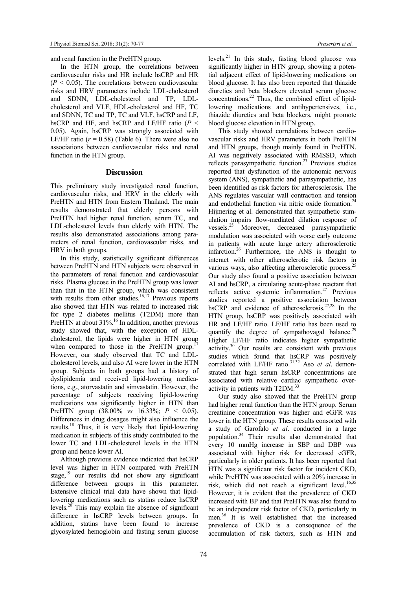and renal function in the PreHTN group.

 In the HTN group, the correlations between cardiovascular risks and HR include hsCRP and HR  $(P < 0.05)$ . The correlations between cardiovascular risks and HRV parameters include LDL-cholesterol and SDNN, LDL-cholesterol and TP, LDLcholesterol and VLF, HDL-cholesterol and HF, TC and SDNN, TC and TP, TC and VLF, hsCRP and LF, hsCRP and HF, and hsCRP and LF/HF ratio ( $P <$ 0.05). Again, hsCRP was strongly associated with LF/HF ratio ( $r = 0.58$ ) (Table 6). There were also no associations between cardiovascular risks and renal function in the HTN group.

## Discussion

This preliminary study investigated renal function, cardiovascular risks, and HRV in the elderly with PreHTN and HTN from Eastern Thailand. The main results demonstrated that elderly persons with PreHTN had higher renal function, serum TC, and LDL-cholesterol levels than elderly with HTN. The results also demonstrated associations among parameters of renal function, cardiovascular risks, and HRV in both groups.

 In this study, statistically significant differences between PreHTN and HTN subjects were observed in the parameters of renal function and cardiovascular risks. Plasma glucose in the PreHTN group was lower than that in the HTN group, which was consistent with results from other studies.<sup>16,17</sup> Previous reports also showed that HTN was related to increased risk for type 2 diabetes mellitus (T2DM) more than PreHTN at about 31%.<sup>16</sup> In addition, another previous study showed that, with the exception of HDLcholesterol, the lipids were higher in HTN group when compared to those in the PreHTN group. However, our study observed that TC and LDLcholesterol levels, and also AI were lower in the HTN group. Subjects in both groups had a history of dyslipidemia and received lipid-lowering medications, e.g., atorvastatin and simvastatin. However, the percentage of subjects receiving lipid-lowering medications was significantly higher in HTN than PreHTN group  $(38.00\% \text{ vs } 16.33\%; P \le 0.05)$ . Differences in drug dosages might also influence the results.<sup>18</sup> Thus, it is very likely that lipid-lowering medication in subjects of this study contributed to the lower TC and LDL-cholesterol levels in the HTN group and hence lower AI.

Although previous evidence indicated that hsCRP level was higher in HTN compared with PreHTN stage,<sup>19</sup> our results did not show any significant difference between groups in this parameter. Extensive clinical trial data have shown that lipidlowering medications such as statins reduce hsCRP levels.<sup>20</sup> This may explain the absence of significant difference in hsCRP levels between groups. In addition, statins have been found to increase glycosylated hemoglobin and fasting serum glucose

levels.<sup>21</sup> In this study, fasting blood glucose was significantly higher in HTN group, showing a potential adjacent effect of lipid-lowering medications on blood glucose. It has also been reported that thiazide diuretics and beta blockers elevated serum glucose concentrations.<sup>22</sup> Thus, the combined effect of lipidlowering medications and antihypertensives, i.e., thiazide diuretics and beta blockers, might promote blood glucose elevation in HTN group.

 This study showed correlations between cardiovascular risks and HRV parameters in both PreHTN and HTN groups, though mainly found in PreHTN. AI was negatively associated with RMSSD, which reflects parasympathetic function.<sup>23</sup> Previous studies reported that dysfunction of the autonomic nervous system (ANS), sympathetic and parasympathetic, has been identified as risk factors for atherosclerosis. The ANS regulates vascular wall contraction and tension and endothelial function via nitric oxide formation.<sup>24</sup> Hijmering et al. demonstrated that sympathetic stimulation impairs flow-mediated dilation response of vessels.<sup>25</sup> Moreover, decreased parasympathetic modulation was associated with worse early outcome in patients with acute large artery atherosclerotic infarction.<sup>26</sup> Furthermore, the ANS is thought to interact with other atherosclerotic risk factors in various ways, also affecting atherosclerotic process.<sup>25</sup> Our study also found a positive association between AI and hsCRP, a circulating acute-phase reactant that reflects active systemic inflammation.<sup>27</sup> Previous studies reported a positive association between hsCRP and evidence of atherosclerosis.27,28 In the HTN group, hsCRP was positively associated with HR and LF/HF ratio. LF/HF ratio has been used to quantify the degree of sympathovagal balance.<sup>29</sup> Higher LF/HF ratio indicates higher sympathetic activity.<sup>30</sup> Our results are consistent with previous studies which found that hsCRP was positively correlated with LF/HF ratio.<sup>31,32</sup> Aso et al. demonstrated that high serum hsCRP concentrations are associated with relative cardiac sympathetic overactivity in patients with T2DM.<sup>33</sup>

 Our study also showed that the PreHTN group had higher renal function than the HTN group. Serum creatinine concentration was higher and eGFR was lower in the HTN group. These results consorted with a study of Garofalo et al. conducted in a large population.<sup>34</sup> Their results also demonstrated that every 10 mmHg increase in SBP and DBP was associated with higher risk for decreased eGFR, particularly in older patients. It has been reported that HTN was a significant risk factor for incident CKD, while PreHTN was associated with a 20% increase in risk, which did not reach a significant level.<sup>16,35</sup> However, it is evident that the prevalence of CKD increased with BP and that PreHTN was also found to be an independent risk factor of CKD, particularly in men.<sup>36</sup> It is well established that the increased prevalence of CKD is a consequence of the accumulation of risk factors, such as HTN and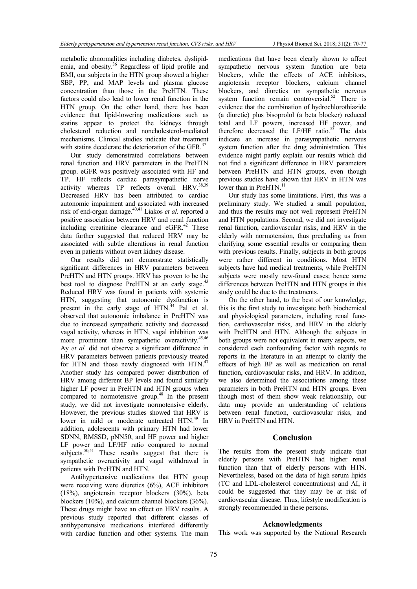metabolic abnormalities including diabetes, dyslipidemia, and obesity.<sup>36</sup> Regardless of lipid profile and BMI, our subjects in the HTN group showed a higher SBP, PP, and MAP levels and plasma glucose concentration than those in the PreHTN. These factors could also lead to lower renal function in the HTN group. On the other hand, there has been evidence that lipid-lowering medications such as statins appear to protect the kidneys through cholesterol reduction and noncholesterol-mediated mechanisms. Clinical studies indicate that treatment with statins decelerate the deterioration of the GFR. $^{37}$ 

 Our study demonstrated correlations between renal function and HRV parameters in the PreHTN group. eGFR was positively associated with HF and TP. HF reflects cardiac parasympathetic nerve activity whereas TP reflects overall HRV.<sup>38,39</sup> Decreased HRV has been attributed to cardiac autonomic impairment and associated with increased risk of end-organ damage. $40,41$  Liakos *et al.* reported a positive association between HRV and renal function including creatinine clearance and eGFR.<sup>42</sup> These data further suggested that reduced HRV may be associated with subtle alterations in renal function even in patients without overt kidney disease.

 Our results did not demonstrate statistically significant differences in HRV parameters between PreHTN and HTN groups. HRV has proven to be the best tool to diagnose PreHTN at an early stage.<sup>43</sup> Reduced HRV was found in patients with systemic HTN, suggesting that autonomic dysfunction is present in the early stage of HTN.<sup>44</sup> Pal et al. observed that autonomic imbalance in PreHTN was due to increased sympathetic activity and decreased vagal activity, whereas in HTN, vagal inhibition was more prominent than sympathetic overactivity.<sup>45,46</sup> Ay et al. did not observe a significant difference in HRV parameters between patients previously treated for HTN and those newly diagnosed with HTN.<sup>47</sup> Another study has compared power distribution of HRV among different BP levels and found similarly higher LF power in PreHTN and HTN groups when compared to normotensive group.<sup>48</sup> In the present study, we did not investigate normotensive elderly. However, the previous studies showed that HRV is lower in mild or moderate untreated HTN.<sup>49</sup> In addition, adolescents with primary HTN had lower SDNN, RMSSD, pNN50, and HF power and higher LF power and LF/HF ratio compared to normal subjects.<sup>50,51</sup> These results suggest that there is sympathetic overactivity and vagal withdrawal in patients with PreHTN and HTN.

Antihypertensive medications that HTN group were receiving were diuretics (6%), ACE inhibitors (18%), angiotensin receptor blockers (30%), beta blockers (10%), and calcium channel blockers (36%). These drugs might have an effect on HRV results. A previous study reported that different classes of antihypertensive medications interfered differently with cardiac function and other systems. The main

medications that have been clearly shown to affect sympathetic nervous system function are beta blockers, while the effects of ACE inhibitors, angiotensin receptor blockers, calcium channel blockers, and diuretics on sympathetic nervous system function remain controversial.<sup>52</sup> There is evidence that the combination of hydrochlorothiazide (a diuretic) plus bisoprolol (a beta blocker) reduced total and LF powers, increased HF power, and therefore decreased the LF/HF ratio. $5\overline{3}$  The data indicate an increase in parasympathetic nervous system function after the drug administration. This evidence might partly explain our results which did not find a significant difference in HRV parameters between PreHTN and HTN groups, even though previous studies have shown that HRV in HTN was lower than in PreHTN.<sup>11</sup>

 Our study has some limitations. First, this was a preliminary study. We studied a small population, and thus the results may not well represent PreHTN and HTN populations. Second, we did not investigate renal function, cardiovascular risks, and HRV in the elderly with normotension, thus precluding us from clarifying some essential results or comparing them with previous results. Finally, subjects in both groups were rather different in conditions. Most HTN subjects have had medical treatments, while PreHTN subjects were mostly new-found cases; hence some differences between PreHTN and HTN groups in this study could be due to the treatments.

On the other hand, to the best of our knowledge, this is the first study to investigate both biochemical and physiological parameters, including renal function, cardiovascular risks, and HRV in the elderly with PreHTN and HTN. Although the subjects in both groups were not equivalent in many aspects, we considered each confounding factor with regards to reports in the literature in an attempt to clarify the effects of high BP as well as medication on renal function, cardiovascular risks, and HRV. In addition, we also determined the associations among these parameters in both PreHTN and HTN groups. Even though most of them show weak relationship, our data may provide an understanding of relations between renal function, cardiovascular risks, and HRV in PreHTN and HTN.

#### Conclusion

The results from the present study indicate that elderly persons with PreHTN had higher renal function than that of elderly persons with HTN. Nevertheless, based on the data of high serum lipids (TC and LDL-cholesterol concentrations) and AI, it could be suggested that they may be at risk of cardiovascular disease. Thus, lifestyle modification is strongly recommended in these persons.

## Acknowledgments

This work was supported by the National Research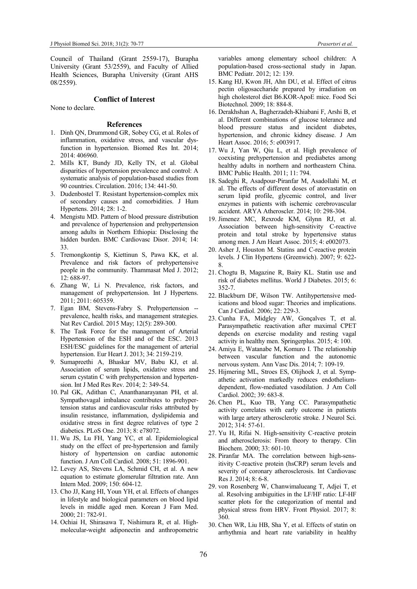Council of Thailand (Grant 2559-17), Burapha University (Grant 53/2559), and Faculty of Allied Health Sciences, Burapha University (Grant AHS 08/2559).

## Conflict of Interest

None to declare.

#### References

- 1. Dinh QN, Drummond GR, Sobey CG, et al. Roles of inflammation, oxidative stress, and vascular dysfunction in hypertension. Biomed Res Int. 2014; 2014: 406960.
- 2. Mills KT, Bundy JD, Kelly TN, et al. Global disparities of hypertension prevalence and control: A systematic analysis of population-based studies from 90 countries. Circulation. 2016; 134: 441-50.
- 3. Dudenbostel T. Resistant hypertension-complex mix of secondary causes and comorbidities. J Hum Hypertens. 2014; 28: 1-2.
- 4. Mengistu MD. Pattern of blood pressure distribution and prevalence of hypertension and prehypertension among adults in Northern Ethiopia: Disclosing the hidden burden. BMC Cardiovasc Disor. 2014; 14: 33.
- 5. Tremongkontip S, Kiettinun S, Pawa KK, et al. Prevalence and risk factors of prehypertensive people in the community. Thammasat Med J. 2012; 12: 688-97.
- 6. Zhang W, Li N. Prevalence, risk factors, and management of prehypertension. Int J Hypertens. 2011; 2011: 605359.
- 7. Egan BM, Stevens-Fabry S. Prehypertension prevalence, health risks, and management strategies. Nat Rev Cardiol. 2015 May; 12(5): 289-300.
- 8. The Task Force for the management of Arterial Hypertension of the ESH and of the ESC. 2013 ESH/ESC guidelines for the management of arterial hypertension. Eur Heart J. 2013; 34: 2159-219.
- 9. Sumapreethi A, Bhaskar MV, Babu KJ, et al. Association of serum lipids, oxidative stress and serum cystatin C with prehypertension and hypertension. Int J Med Res Rev. 2014; 2: 349-54.
- 10. Pal GK, Adithan C, Ananthanarayanan PH, et al. Sympathovagal imbalance contributes to prehypertension status and cardiovascular risks attributed by insulin resistance, inflammation, dyslipidemia and oxidative stress in first degree relatives of type 2 diabetics. PLoS One. 2013; 8: e78072.
- 11. Wu JS, Lu FH, Yang YC, et al. Epidemiological study on the effect of pre-hypertension and family history of hypertension on cardiac autonomic function. J Am Coll Cardiol. 2008; 51: 1896-901.
- 12. Levey AS, Stevens LA, Schmid CH, et al. A new equation to estimate glomerular filtration rate. Ann Intern Med. 2009; 150: 604-12.
- 13. Cho JJ, Kang HI, Youn YH, et al. Effects of changes in lifestyle and biological parameters on blood lipid levels in middle aged men. Korean J Fam Med. 2000; 21: 782-91.
- 14. Ochiai H, Shirasawa T, Nishimura R, et al. Highmolecular-weight adiponectin and anthropometric

variables among elementary school children: A population-based cross-sectional study in Japan. BMC Pediatr. 2012; 12: 139.

- 15. Kang HJ, Kwon JH, Ahn DU, et al. Effect of citrus pectin oligosaccharide prepared by irradiation on high cholesterol diet B6.KOR-ApoE mice. Food Sci Biotechnol. 2009; 18: 884-8.
- 16. Derakhshan A, Bagherzadeh-Khiabani F, Arshi B, et al. Different combinations of glucose tolerance and blood pressure status and incident diabetes, hypertension, and chronic kidney disease. J Am Heart Assoc. 2016; 5: e003917.
- 17. Wu J, Yan W, Qiu L, et al. High prevalence of coexisting prehypertension and prediabetes among healthy adults in northern and northeastern China. BMC Public Health. 2011; 11: 794.
- 18. Sadeghi R, Asadpour-Piranfar M, Asadollahi M, et al. The effects of different doses of atorvastatin on serum lipid profile, glycemic control, and liver enzymes in patients with ischemic cerebrovascular accident. ARYA Atheroscler. 2014; 10: 298-304.
- 19. Jimenez MC, Rexrode KM, Glynn RJ, et al. Association between high-sensitivity C-reactive protein and total stroke by hypertensive status among men. J Am Heart Assoc. 2015; 4: e002073.
- 20. Asher J, Houston M. Statins and C-reactive protein levels. J Clin Hypertens (Greenwich). 2007; 9: 622- 8.
- 21. Chogtu B, Magazine R, Bairy KL. Statin use and risk of diabetes mellitus. World J Diabetes. 2015; 6: 352-7.
- 22. Blackburn DF, Wilson TW. Antihypertensive medications and blood sugar: Theories and implications. Can J Cardiol. 2006; 22: 229-3.
- 23. Cunha FA, Midgley AW, Gonçalves T, et al. Parasympathetic reactivation after maximal CPET depends on exercise modality and resting vagal activity in healthy men. Springerplus. 2015; 4: 100.
- 24. Amiya E, Watanabe M, Komuro I. The relationship between vascular function and the autonomic nervous system. Ann Vasc Dis. 2014; 7: 109-19.
- 25. Hijmering ML, Stroes ES, Olijhoek J, et al. Sympathetic activation markedly reduces endotheliumdependent, flow-mediated vasodilation. J Am Coll Cardiol. 2002; 39: 683-8.
- 26. Chen PL, Kuo TB, Yang CC. Parasympathetic activity correlates with early outcome in patients with large artery atherosclerotic stroke. J Neurol Sci. 2012; 314: 57-61.
- 27. Yu H, Rifai N. High-sensitivity C-reactive protein and atherosclerosis: From theory to therapy. Clin Biochem. 2000; 33: 601-10.
- 28. Piranfar MA. The correlation between high-sensitivity C-reactive protein (hsCRP) serum levels and severity of coronary atherosclerosis. Int Cardiovasc Res J. 2014; 8: 6-8.
- 29. von Rosenberg W, Chanwimalueang T, Adjei T, et al. Resolving ambiguities in the LF/HF ratio: LF-HF scatter plots for the categorization of mental and physical stress from HRV. Front Physiol. 2017; 8: 360.
- 30. Chen WR, Liu HB, Sha Y, et al. Effects of statin on arrhythmia and heart rate variability in healthy